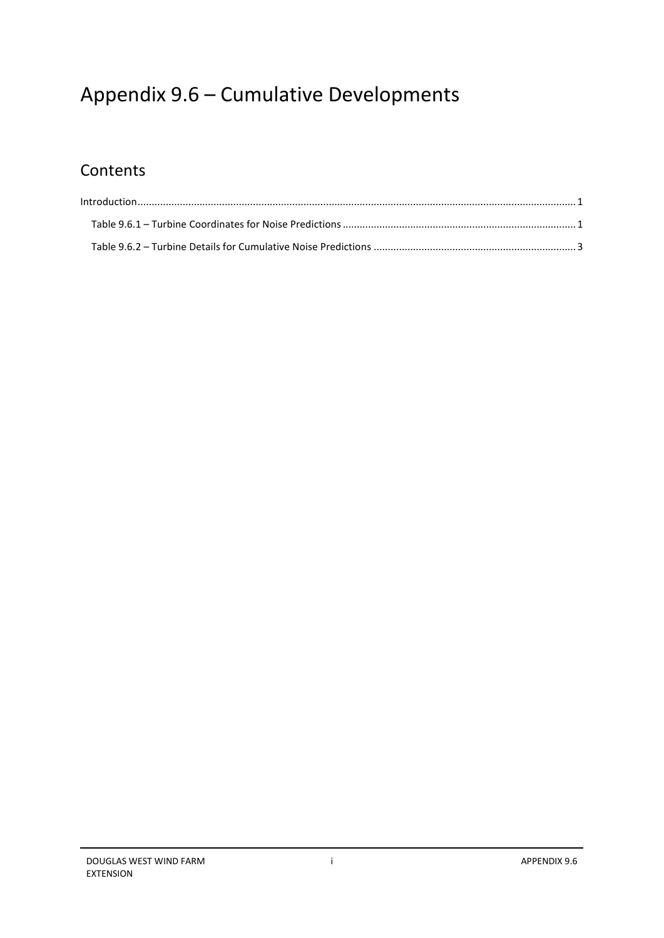# Appendix 9.6 – Cumulative Developments

### **Contents**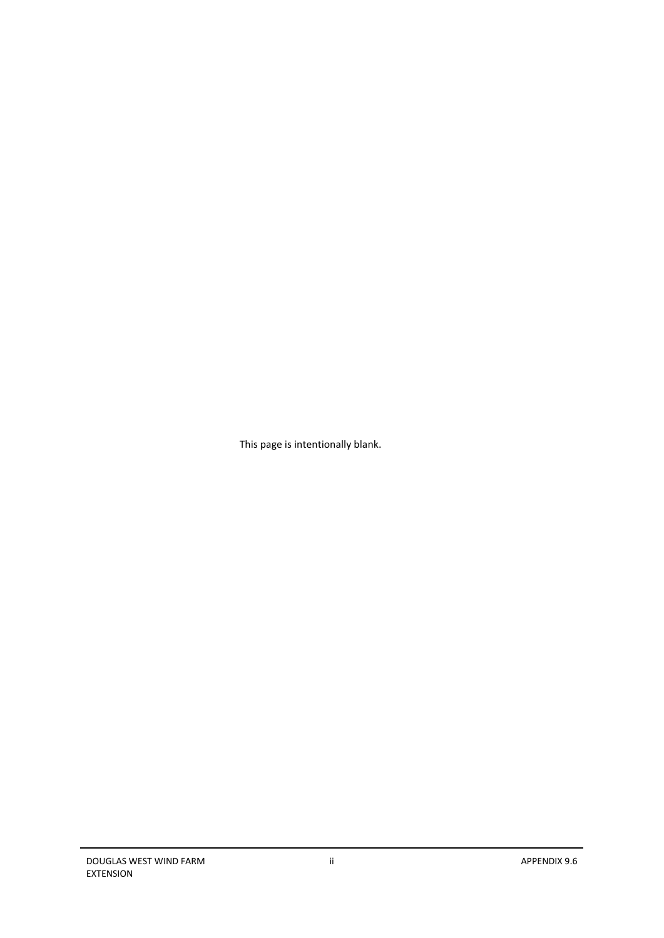This page is intentionally blank.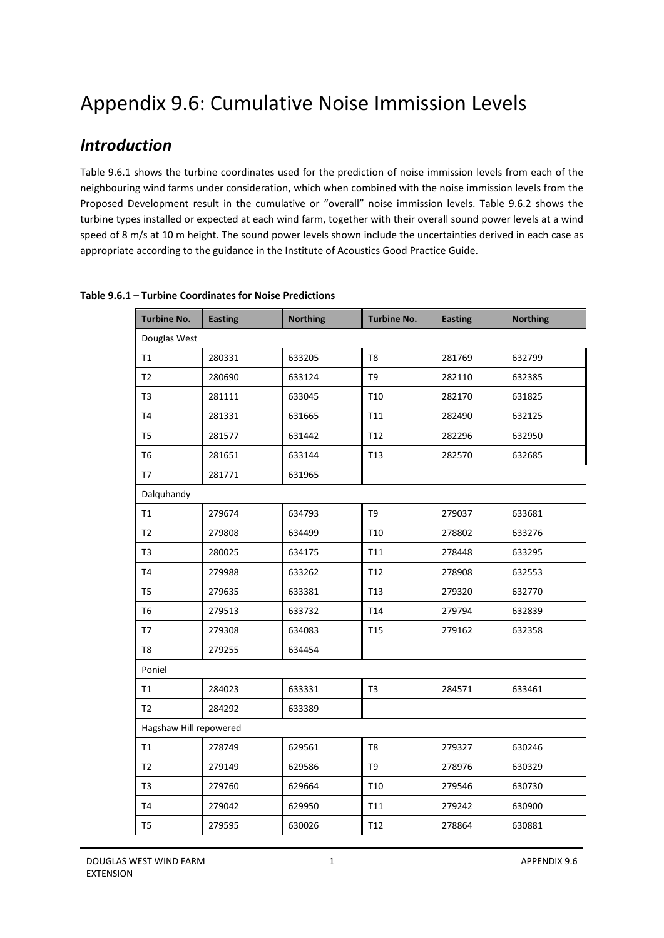## Appendix 9.6: Cumulative Noise Immission Levels

#### <span id="page-2-0"></span>*Introduction*

Table 9.6.1 shows the turbine coordinates used for the prediction of noise immission levels from each of the neighbouring wind farms under consideration, which when combined with the noise immission levels from the Proposed Development result in the cumulative or "overall" noise immission levels. Table 9.6.2 shows the turbine types installed or expected at each wind farm, together with their overall sound power levels at a wind speed of 8 m/s at 10 m height. The sound power levels shown include the uncertainties derived in each case as appropriate according to the guidance in the Institute of Acoustics Good Practice Guide.

| <b>Turbine No.</b>     | <b>Easting</b> | <b>Northing</b> | <b>Turbine No.</b> | <b>Easting</b> | <b>Northing</b> |
|------------------------|----------------|-----------------|--------------------|----------------|-----------------|
| Douglas West           |                |                 |                    |                |                 |
| T1                     | 280331         | 633205          | T8                 | 281769         | 632799          |
| T <sub>2</sub>         | 280690         | 633124          | T <sub>9</sub>     | 282110         | 632385          |
| T <sub>3</sub>         | 281111         | 633045          | T <sub>10</sub>    | 282170         | 631825          |
| T <sub>4</sub>         | 281331         | 631665          | T11                | 282490         | 632125          |
| T <sub>5</sub>         | 281577         | 631442          | T <sub>12</sub>    | 282296         | 632950          |
| T6                     | 281651         | 633144          | T <sub>13</sub>    | 282570         | 632685          |
| T7                     | 281771         | 631965          |                    |                |                 |
| Dalquhandy             |                |                 |                    |                |                 |
| T1                     | 279674         | 634793          | T9                 | 279037         | 633681          |
| T <sub>2</sub>         | 279808         | 634499          | T <sub>10</sub>    | 278802         | 633276          |
| T <sub>3</sub>         | 280025         | 634175          | T11                | 278448         | 633295          |
| Τ4                     | 279988         | 633262          | T <sub>12</sub>    | 278908         | 632553          |
| T <sub>5</sub>         | 279635         | 633381          | T <sub>13</sub>    | 279320         | 632770          |
| T <sub>6</sub>         | 279513         | 633732          | T <sub>14</sub>    | 279794         | 632839          |
| T7                     | 279308         | 634083          | T <sub>15</sub>    | 279162         | 632358          |
| T8                     | 279255         | 634454          |                    |                |                 |
| Poniel                 |                |                 |                    |                |                 |
| T1                     | 284023         | 633331          | T <sub>3</sub>     | 284571         | 633461          |
| T <sub>2</sub>         | 284292         | 633389          |                    |                |                 |
| Hagshaw Hill repowered |                |                 |                    |                |                 |
| T1                     | 278749         | 629561          | T8                 | 279327         | 630246          |
| T <sub>2</sub>         | 279149         | 629586          | T <sub>9</sub>     | 278976         | 630329          |
| T <sub>3</sub>         | 279760         | 629664          | T <sub>10</sub>    | 279546         | 630730          |
| T4                     | 279042         | 629950          | T11                | 279242         | 630900          |
| T <sub>5</sub>         | 279595         | 630026          | T <sub>12</sub>    | 278864         | 630881          |

#### <span id="page-2-1"></span>**Table 9.6.1 – Turbine Coordinates for Noise Predictions**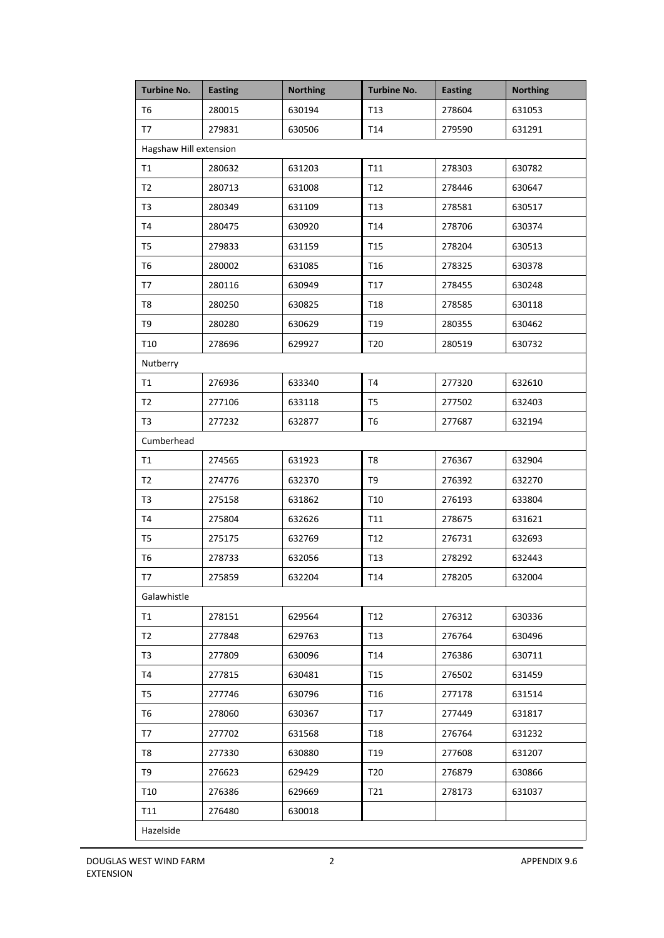| <b>Turbine No.</b>     | <b>Easting</b> | <b>Northing</b> | <b>Turbine No.</b> | <b>Easting</b> | <b>Northing</b> |
|------------------------|----------------|-----------------|--------------------|----------------|-----------------|
| T <sub>6</sub>         | 280015         | 630194          | T13                | 278604         | 631053          |
| Т7                     | 279831         | 630506          | T <sub>14</sub>    | 279590         | 631291          |
| Hagshaw Hill extension |                |                 |                    |                |                 |
| <b>T1</b>              | 280632         | 631203          | T11                | 278303         | 630782          |
| T <sub>2</sub>         | 280713         | 631008          | T <sub>12</sub>    | 278446         | 630647          |
| T <sub>3</sub>         | 280349         | 631109          | T <sub>13</sub>    | 278581         | 630517          |
| T <sub>4</sub>         | 280475         | 630920          | T14                | 278706         | 630374          |
| T5                     | 279833         | 631159          | T15                | 278204         | 630513          |
| T <sub>6</sub>         | 280002         | 631085          | T <sub>16</sub>    | 278325         | 630378          |
| T7                     | 280116         | 630949          | T17                | 278455         | 630248          |
| T <sub>8</sub>         | 280250         | 630825          | <b>T18</b>         | 278585         | 630118          |
| T9                     | 280280         | 630629          | T19                | 280355         | 630462          |
| T <sub>10</sub>        | 278696         | 629927          | T <sub>20</sub>    | 280519         | 630732          |
| Nutberry               |                |                 |                    |                |                 |
| <b>T1</b>              | 276936         | 633340          | <b>T4</b>          | 277320         | 632610          |
| T <sub>2</sub>         | 277106         | 633118          | T <sub>5</sub>     | 277502         | 632403          |
| T3                     | 277232         | 632877          | T6                 | 277687         | 632194          |
| Cumberhead             |                |                 |                    |                |                 |
| T1                     | 274565         | 631923          | T <sub>8</sub>     | 276367         | 632904          |
| T <sub>2</sub>         | 274776         | 632370          | T <sub>9</sub>     | 276392         | 632270          |
| T <sub>3</sub>         | 275158         | 631862          | T <sub>10</sub>    | 276193         | 633804          |
| T <sub>4</sub>         | 275804         | 632626          | T11                | 278675         | 631621          |
| T <sub>5</sub>         | 275175         | 632769          | T <sub>12</sub>    | 276731         | 632693          |
| T <sub>6</sub>         | 278733         | 632056          | T <sub>13</sub>    | 278292         | 632443          |
| T7                     | 275859         | 632204          | T14                | 278205         | 632004          |
| Galawhistle            |                |                 |                    |                |                 |
| T1                     | 278151         | 629564          | T12                | 276312         | 630336          |
| T <sub>2</sub>         | 277848         | 629763          | T <sub>13</sub>    | 276764         | 630496          |
| T <sub>3</sub>         | 277809         | 630096          | T14                | 276386         | 630711          |
| <b>T4</b>              | 277815         | 630481          | T <sub>15</sub>    | 276502         | 631459          |
| T <sub>5</sub>         | 277746         | 630796          | T <sub>16</sub>    | 277178         | 631514          |
| T6                     | 278060         | 630367          | T17                | 277449         | 631817          |
| T7                     | 277702         | 631568          | <b>T18</b>         | 276764         | 631232          |
| T8                     | 277330         | 630880          | T <sub>19</sub>    | 277608         | 631207          |
| T9                     | 276623         | 629429          | T <sub>20</sub>    | 276879         | 630866          |
| T <sub>10</sub>        | 276386         | 629669          | T21                | 278173         | 631037          |
| T11                    | 276480         | 630018          |                    |                |                 |
| Hazelside              |                |                 |                    |                |                 |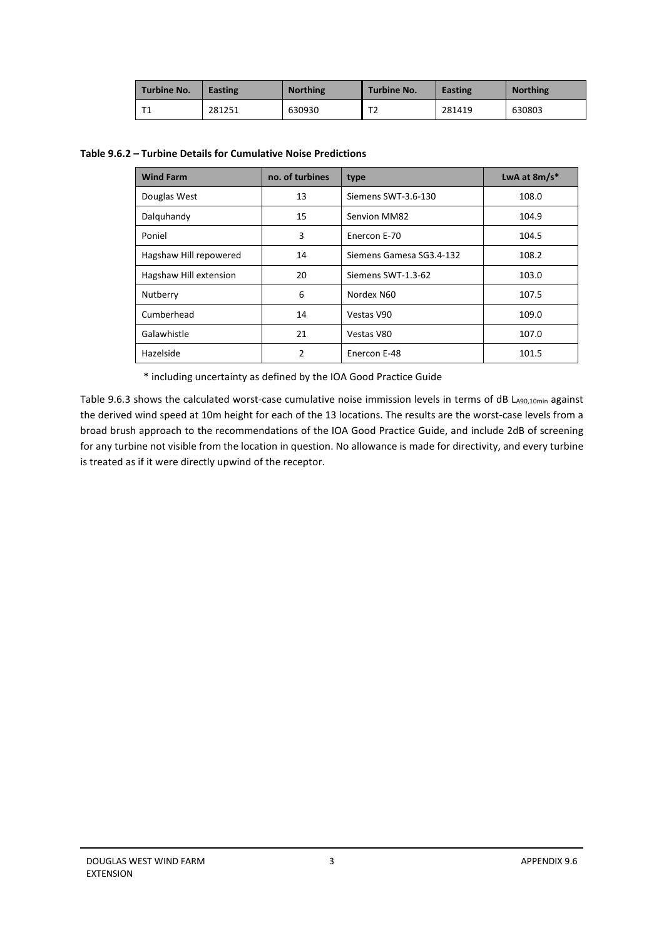| <b>Turbine No.</b> | <b>Easting</b> | <b>Northing</b> | Turbine No. | <b>Easting</b> | <b>Northing</b> |
|--------------------|----------------|-----------------|-------------|----------------|-----------------|
|                    | 281251         | 630930          | T٦          | 281419         | 630803          |

<span id="page-4-0"></span>

| Table 9.6.2 – Turbine Details for Cumulative Noise Predictions |  |  |
|----------------------------------------------------------------|--|--|
|----------------------------------------------------------------|--|--|

| <b>Wind Farm</b>       | no. of turbines | type                     | LwA at 8m/s* |
|------------------------|-----------------|--------------------------|--------------|
| Douglas West           | 13              | Siemens SWT-3.6-130      | 108.0        |
| Dalguhandy             | 15              | Senvion MM82             | 104.9        |
| Poniel                 | 3               | Enercon E-70             | 104.5        |
| Hagshaw Hill repowered | 14              | Siemens Gamesa SG3.4-132 | 108.2        |
| Hagshaw Hill extension | 20              | Siemens SWT-1.3-62       | 103.0        |
| Nutberry               | 6               | Nordex N60               | 107.5        |
| Cumberhead             | 14              | Vestas V90               | 109.0        |
| Galawhistle            | 21              | Vestas V80               | 107.0        |
| Hazelside              | 2               | Enercon E-48             | 101.5        |

\* including uncertainty as defined by the IOA Good Practice Guide

Table 9.6.3 shows the calculated worst-case cumulative noise immission levels in terms of dB LA90,10min against the derived wind speed at 10m height for each of the 13 locations. The results are the worst-case levels from a broad brush approach to the recommendations of the IOA Good Practice Guide, and include 2dB of screening for any turbine not visible from the location in question. No allowance is made for directivity, and every turbine is treated as if it were directly upwind of the receptor.